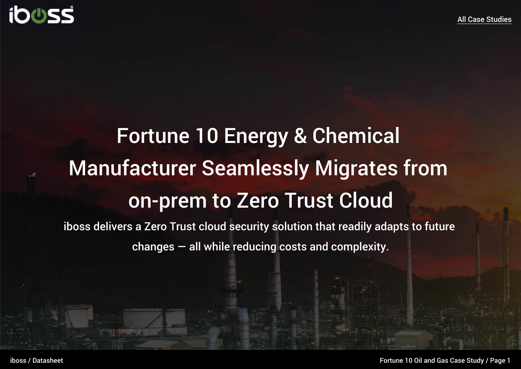iboss / Datasheet Fortune 10 Oil and Gas PCaagsee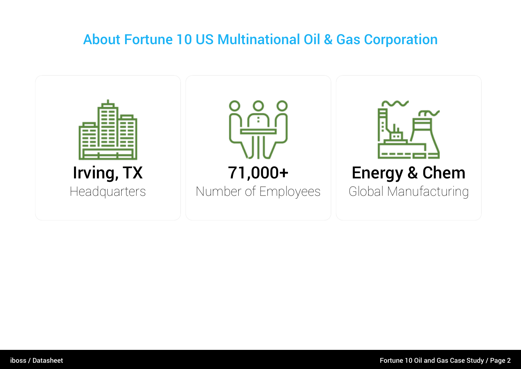### About Fortune 10 US Multinational Oil & Gas Corporation

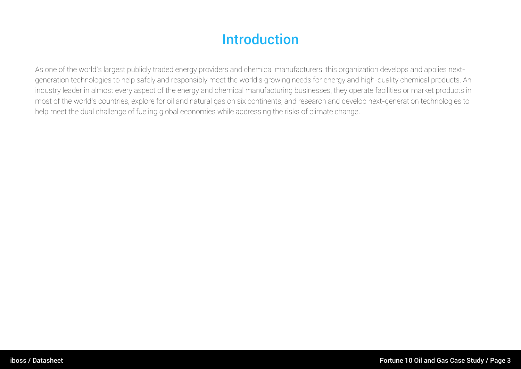## Introduction

As one of the world's largest publicly traded energy providers and chemical manufacturers, this organization develops and applies nextgeneration technologies to help safely and responsibly meet the world's growing needs for energy and high-quality chemical products. An industry leader in almost every aspect of the energy and chemical manufacturing businesses, they operate facilities or market products in most of the world's countries, explore for oil and natural gas on six continents, and research and develop next-generation technologies to help meet the dual challenge of fueling global economies while addressing the risks of climate change.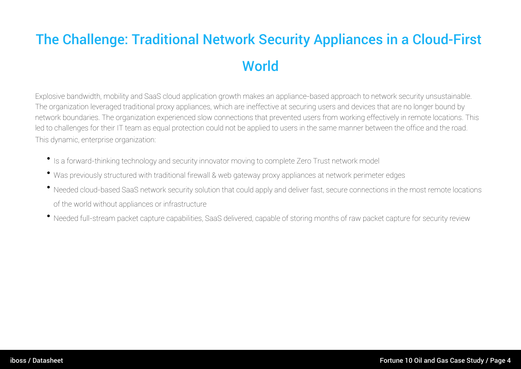## The Challenge: Traditional Network Security Appliances in a Cloud-First **World**

Explosive bandwidth, mobility and SaaS cloud application growth makes an appliance-based approach to network security unsustainable. The organization leveraged traditional proxy appliances, which are ineffective at securing users and devices that are no longer bound by network boundaries. The organization experienced slow connections that prevented users from working effectively in remote locations. This led to challenges for their IT team as equal protection could not be applied to users in the same manner between the office and the road. This dynamic, enterprise organization:

- Is a forward-thinking technology and security innovator moving to complete Zero Trust network model
- Was previously structured with traditional firewall & web gateway proxy appliances at network perimeter edges
- Needed cloud-based SaaS network security solution that could apply and deliver fast, secure connections in the most remote locations of the world without appliances or infrastructure
- Needed full-stream packet capture capabilities, SaaS delivered, capable of storing months of raw packet capture for security review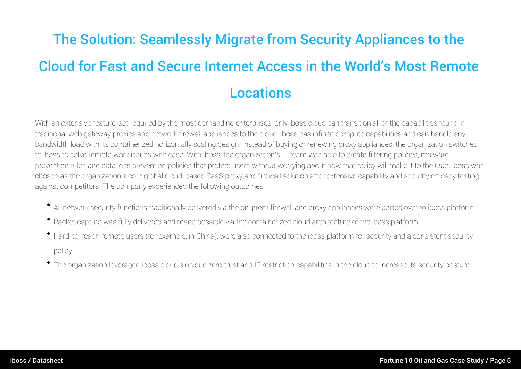# The Solution: Seamlessly Migrate from Security Appliances to the Cloud for Fast and Secure Internet Access in the World's Most Remote **Locations**

With an extensive feature-set required by the most demanding enterprises, only iboss cloud can transition all of the capabilities found in traditional web gateway proxies and network firewall appliances to the cloud. iboss has infinite compute capabilities and can handle any bandwidth load with its containerized horizontally scaling design. Instead of buying or renewing proxy appliances, the organization switched to iboss to solve remote work issues with ease. With iboss, the organization's IT team was able to create filtering policies, malware prevention rules and data loss prevention policies that protect users without worrying about how that policy will make it to the user. iboss was chosen as the organization's core global cloud-based SaaS proxy and firewall solution after extensive capability and security efficacy testing against competitors. The company experienced the following outcomes:

- All network security functions traditionally delivered via the on-prem firewall and proxy appliances were ported over to iboss platform
- Packet capture was fully delivered and made possible via the containerized cloud architecture of the iboss platform
- Hard-to-reach remote users (for example, in China), were also connected to the iboss platform for security and a consistent security policy
- The organization leveraged iboss cloud's unique zero trust and IP restriction capabilities in the cloud to increase its security posture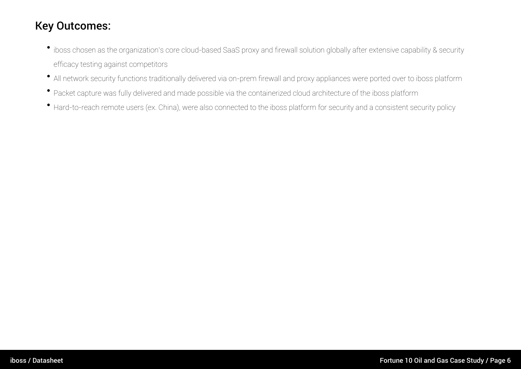#### Key Outcomes:

- iboss chosen as the organization's core cloud-based SaaS proxy and firewall solution globally after extensive capability & security efficacy testing against competitors
- All network security functions traditionally delivered via on-prem firewall and proxy appliances were ported over to iboss platform
- Packet capture was fully delivered and made possible via the containerized cloud architecture of the iboss platform
- Hard-to-reach remote users (ex. China), were also connected to the iboss platform for security and a consistent security policy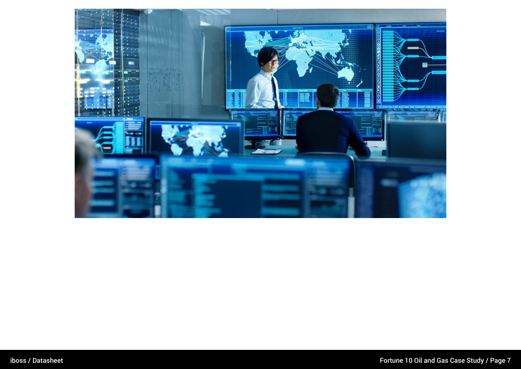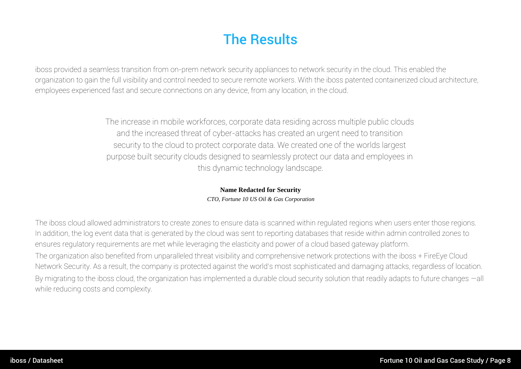## The Results

iboss provided a seamless transition from on-prem network security appliances to network security in the cloud. This enabled the organization to gain the full visibility and control needed to secure remote workers. With the iboss patented containerized cloud architecture, employees experienced fast and secure connections on any device, from any location, in the cloud.

> The increase in mobile workforces, corporate data residing across multiple public clouds and the increased threat of cyber-attacks has created an urgent need to transition security to the cloud to protect corporate data. We created one of the worlds largest purpose built security clouds designed to seamlessly protect our data and employees in this dynamic technology landscape.

#### **Name Redacted for Security** *CTO, Fortune 10 US Oil & Gas Corporation*

The iboss cloud allowed administrators to create zones to ensure data is scanned within regulated regions when users enter those regions. In addition, the log event data that is generated by the cloud was sent to reporting databases that reside within admin controlled zones to ensures regulatory requirements are met while leveraging the elasticity and power of a cloud based gateway platform. The organization also benefited from unparalleled threat visibility and comprehensive network protections with the iboss + FireEye Cloud Network Security. As a result, the company is protected against the world's most sophisticated and damaging attacks, regardless of location. By migrating to the iboss cloud, the organization has implemented a durable cloud security solution that readily adapts to future changes —all while reducing costs and complexity.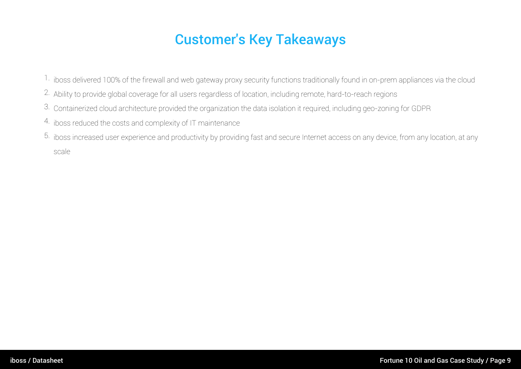## Customer's Key Takeaways

- <sup>1</sup>. iboss delivered 100% of the firewall and web gateway proxy security functions traditionally found in on-prem appliances via the cloud
- 2. Ability to provide global coverage for all users regardless of location, including remote, hard-to-reach regions
- 3. Containerized cloud architecture provided the organization the data isolation it required, including geo-zoning for GDPR
- 4. iboss reduced the costs and complexity of IT maintenance
- 5. iboss increased user experience and productivity by providing fast and secure Internet access on any device, from any location, at any scale